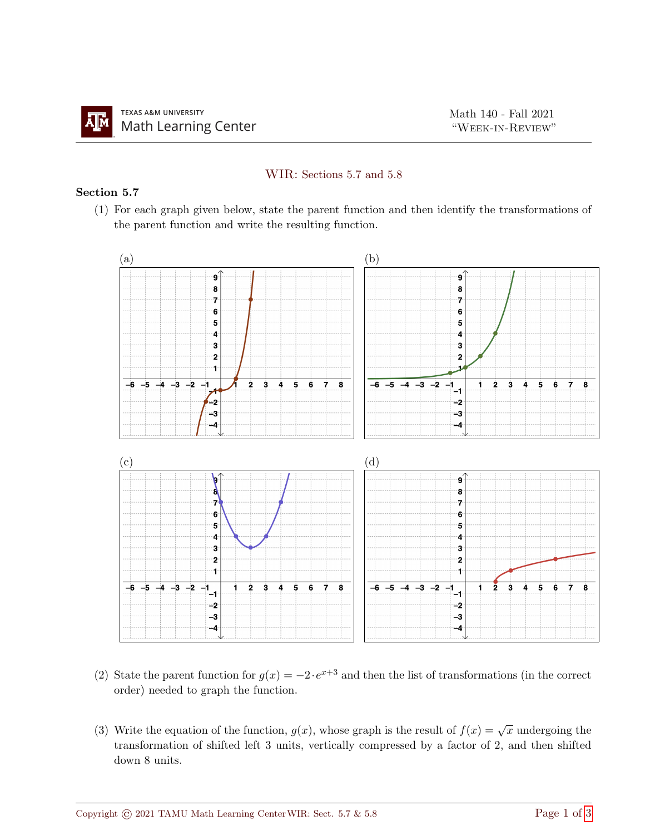## WIR: Sections 5.7 and 5.8

## Section 5.7

(1) For each graph given below, state the parent function and then identify the transformations of the parent function and write the resulting function.



- (2) State the parent function for  $g(x) = -2 \cdot e^{x+3}$  and then the list of transformations (in the correct order) needed to graph the function.
- (3) Write the equation of the function,  $g(x)$ , whose graph is the result of  $f(x) = \sqrt{x}$  undergoing the transformation of shifted left 3 units, vertically compressed by a factor of 2, and then shifted down 8 units.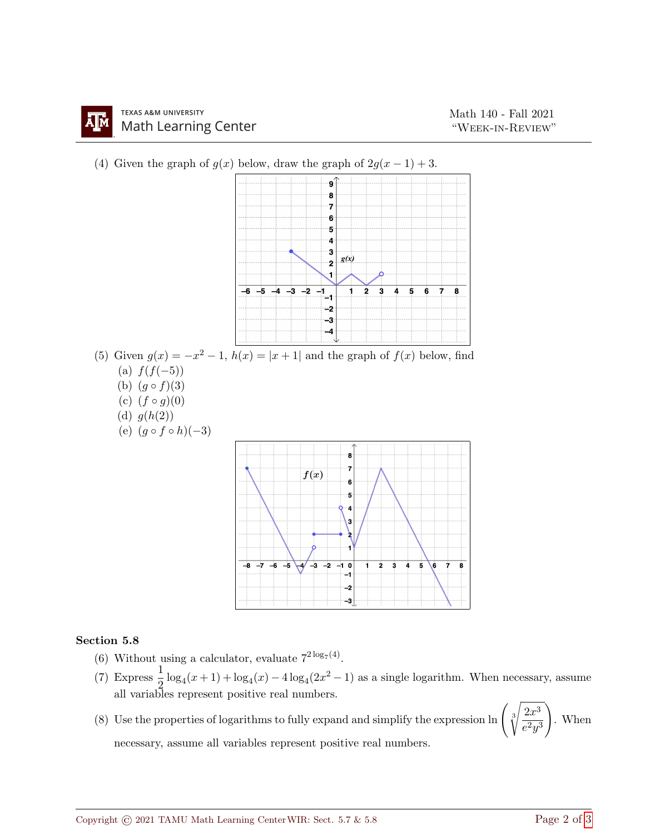



## Section 5.8

- (6) Without using a calculator, evaluate  $7^{2 \log_7(4)}$ .
- (7) Express  $\frac{1}{2} \log_4(x+1) + \log_4(x) 4 \log_4(2x^2-1)$  as a single logarithm. When necessary, assume all variables represent positive real numbers.
- (8) Use the properties of logarithms to fully expand and simplify the expression  $\ln \left( \sqrt[3]{\frac{2x^3}{3}} \right)$  $e^2y^3$  $\setminus$ . When necessary, assume all variables represent positive real numbers.